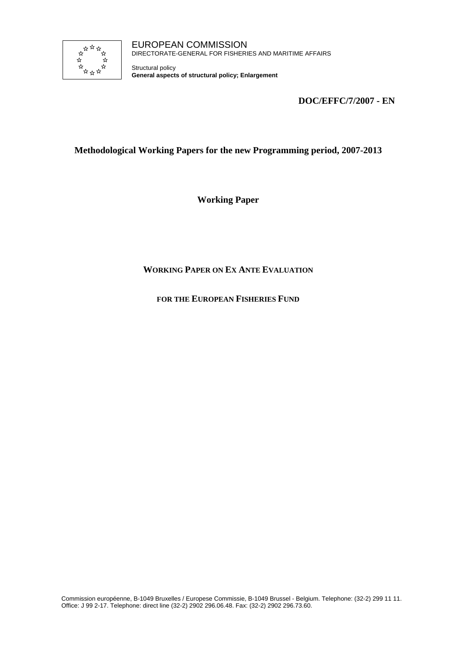

Structural policy **General aspects of structural policy; Enlargement**

**DOC/EFFC/7/2007 - EN** 

# **Methodological Working Papers for the new Programming period, 2007-2013**

**Working Paper** 

# **WORKING PAPER ON EX ANTE EVALUATION**

## **FOR THE EUROPEAN FISHERIES FUND**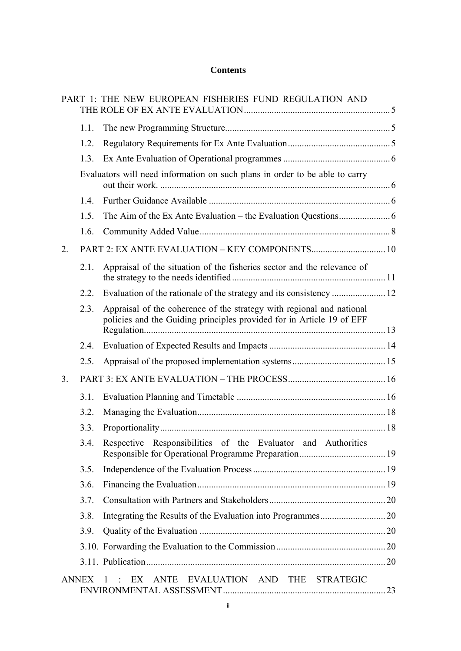# **Contents**

|                |              | PART 1: THE NEW EUROPEAN FISHERIES FUND REGULATION AND                                                                                         |  |
|----------------|--------------|------------------------------------------------------------------------------------------------------------------------------------------------|--|
|                | 1.1.         |                                                                                                                                                |  |
|                | 1.2.         |                                                                                                                                                |  |
|                | 1.3.         |                                                                                                                                                |  |
|                |              | Evaluators will need information on such plans in order to be able to carry                                                                    |  |
|                | 14           |                                                                                                                                                |  |
|                | 1.5.         |                                                                                                                                                |  |
|                | 1.6.         |                                                                                                                                                |  |
| 2.             |              |                                                                                                                                                |  |
|                | 2.1.         | Appraisal of the situation of the fisheries sector and the relevance of                                                                        |  |
|                | 2.2.         |                                                                                                                                                |  |
|                | 2.3.         | Appraisal of the coherence of the strategy with regional and national<br>policies and the Guiding principles provided for in Article 19 of EFF |  |
|                | 2.4.         |                                                                                                                                                |  |
|                | 2.5.         |                                                                                                                                                |  |
| 3 <sub>1</sub> |              |                                                                                                                                                |  |
|                | 3.1.         |                                                                                                                                                |  |
|                | 3.2.         |                                                                                                                                                |  |
|                | 3.3.         |                                                                                                                                                |  |
|                | 3.4.         | Respective Responsibilities of the Evaluator and Authorities                                                                                   |  |
|                | 3.5.         |                                                                                                                                                |  |
|                | 3.6.         |                                                                                                                                                |  |
|                | 3.7.         |                                                                                                                                                |  |
|                | 3.8.         |                                                                                                                                                |  |
|                | 3.9.         |                                                                                                                                                |  |
|                |              |                                                                                                                                                |  |
|                |              |                                                                                                                                                |  |
|                | <b>ANNEX</b> | ANTE EVALUATION AND THE STRATEGIC<br>EX<br>$\blacksquare$                                                                                      |  |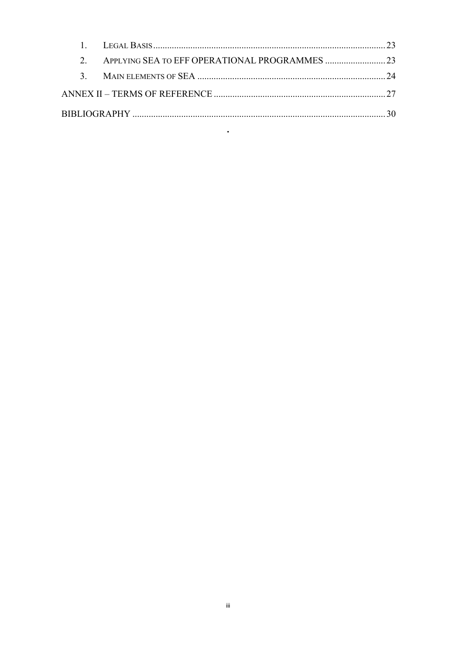$\bullet$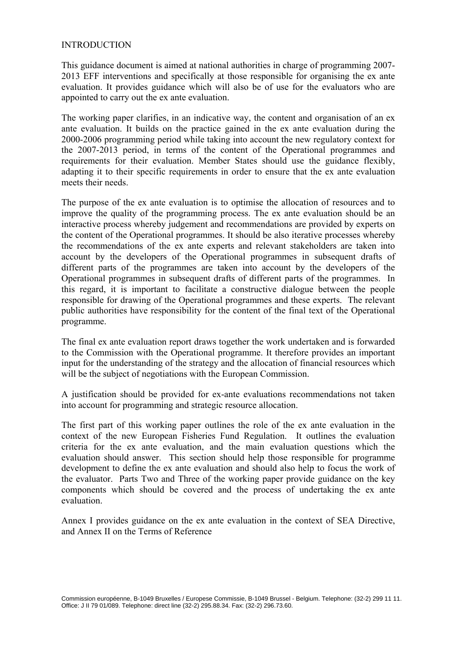#### INTRODUCTION

This guidance document is aimed at national authorities in charge of programming 2007- 2013 EFF interventions and specifically at those responsible for organising the ex ante evaluation. It provides guidance which will also be of use for the evaluators who are appointed to carry out the ex ante evaluation.

The working paper clarifies, in an indicative way, the content and organisation of an ex ante evaluation. It builds on the practice gained in the ex ante evaluation during the 2000-2006 programming period while taking into account the new regulatory context for the 2007-2013 period, in terms of the content of the Operational programmes and requirements for their evaluation. Member States should use the guidance flexibly, adapting it to their specific requirements in order to ensure that the ex ante evaluation meets their needs.

The purpose of the ex ante evaluation is to optimise the allocation of resources and to improve the quality of the programming process. The ex ante evaluation should be an interactive process whereby judgement and recommendations are provided by experts on the content of the Operational programmes. It should be also iterative processes whereby the recommendations of the ex ante experts and relevant stakeholders are taken into account by the developers of the Operational programmes in subsequent drafts of different parts of the programmes are taken into account by the developers of the Operational programmes in subsequent drafts of different parts of the programmes. In this regard, it is important to facilitate a constructive dialogue between the people responsible for drawing of the Operational programmes and these experts. The relevant public authorities have responsibility for the content of the final text of the Operational programme.

The final ex ante evaluation report draws together the work undertaken and is forwarded to the Commission with the Operational programme. It therefore provides an important input for the understanding of the strategy and the allocation of financial resources which will be the subject of negotiations with the European Commission.

A justification should be provided for ex-ante evaluations recommendations not taken into account for programming and strategic resource allocation.

The first part of this working paper outlines the role of the ex ante evaluation in the context of the new European Fisheries Fund Regulation. It outlines the evaluation criteria for the ex ante evaluation, and the main evaluation questions which the evaluation should answer. This section should help those responsible for programme development to define the ex ante evaluation and should also help to focus the work of the evaluator. Parts Two and Three of the working paper provide guidance on the key components which should be covered and the process of undertaking the ex ante evaluation.

Annex I provides guidance on the ex ante evaluation in the context of SEA Directive, and Annex II on the Terms of Reference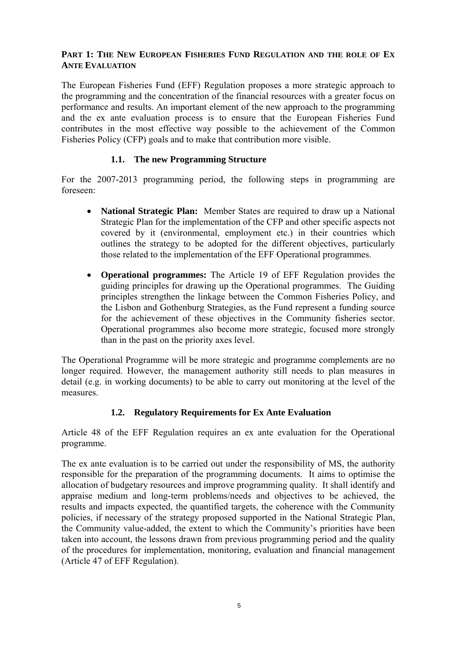## **PART 1: THE NEW EUROPEAN FISHERIES FUND REGULATION AND THE ROLE OF EX ANTE EVALUATION**

The European Fisheries Fund (EFF) Regulation proposes a more strategic approach to the programming and the concentration of the financial resources with a greater focus on performance and results. An important element of the new approach to the programming and the ex ante evaluation process is to ensure that the European Fisheries Fund contributes in the most effective way possible to the achievement of the Common Fisheries Policy (CFP) goals and to make that contribution more visible.

## **1.1. The new Programming Structure**

For the 2007-2013 programming period, the following steps in programming are foreseen:

- **National Strategic Plan:** Member States are required to draw up a National Strategic Plan for the implementation of the CFP and other specific aspects not covered by it (environmental, employment etc.) in their countries which outlines the strategy to be adopted for the different objectives, particularly those related to the implementation of the EFF Operational programmes.
- **Operational programmes:** The Article 19 of EFF Regulation provides the guiding principles for drawing up the Operational programmes. The Guiding principles strengthen the linkage between the Common Fisheries Policy, and the Lisbon and Gothenburg Strategies, as the Fund represent a funding source for the achievement of these objectives in the Community fisheries sector. Operational programmes also become more strategic, focused more strongly than in the past on the priority axes level.

The Operational Programme will be more strategic and programme complements are no longer required. However, the management authority still needs to plan measures in detail (e.g. in working documents) to be able to carry out monitoring at the level of the measures.

## **1.2. Regulatory Requirements for Ex Ante Evaluation**

Article 48 of the EFF Regulation requires an ex ante evaluation for the Operational programme.

The ex ante evaluation is to be carried out under the responsibility of MS, the authority responsible for the preparation of the programming documents. It aims to optimise the allocation of budgetary resources and improve programming quality. It shall identify and appraise medium and long-term problems/needs and objectives to be achieved, the results and impacts expected, the quantified targets, the coherence with the Community policies, if necessary of the strategy proposed supported in the National Strategic Plan, the Community value-added, the extent to which the Community's priorities have been taken into account, the lessons drawn from previous programming period and the quality of the procedures for implementation, monitoring, evaluation and financial management (Article 47 of EFF Regulation).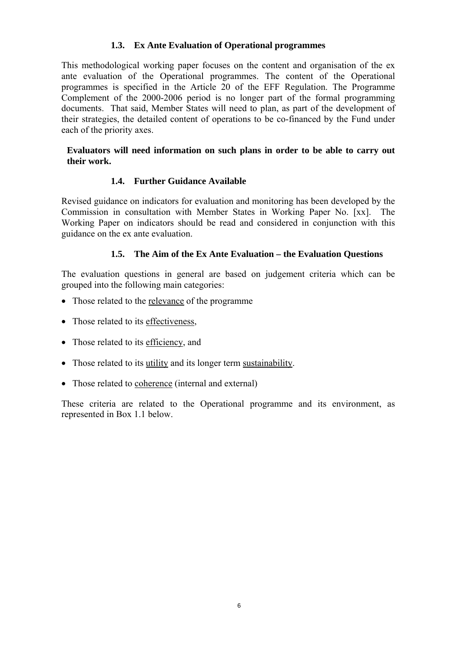## **1.3. Ex Ante Evaluation of Operational programmes**

This methodological working paper focuses on the content and organisation of the ex ante evaluation of the Operational programmes. The content of the Operational programmes is specified in the Article 20 of the EFF Regulation. The Programme Complement of the 2000-2006 period is no longer part of the formal programming documents. That said, Member States will need to plan, as part of the development of their strategies, the detailed content of operations to be co-financed by the Fund under each of the priority axes.

#### **Evaluators will need information on such plans in order to be able to carry out their work.**

# **1.4. Further Guidance Available**

Revised guidance on indicators for evaluation and monitoring has been developed by the Commission in consultation with Member States in Working Paper No. [xx]. The Working Paper on indicators should be read and considered in conjunction with this guidance on the ex ante evaluation.

# **1.5. The Aim of the Ex Ante Evaluation – the Evaluation Questions**

The evaluation questions in general are based on judgement criteria which can be grouped into the following main categories:

- Those related to the relevance of the programme
- Those related to its effectiveness,
- Those related to its efficiency, and
- Those related to its utility and its longer term sustainability.
- Those related to coherence (internal and external)

These criteria are related to the Operational programme and its environment, as represented in Box 1.1 below.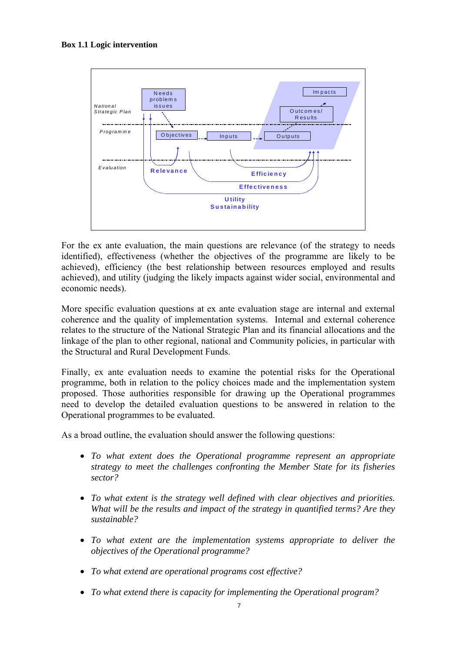#### **Box 1.1 Logic intervention**



For the ex ante evaluation, the main questions are relevance (of the strategy to needs identified), effectiveness (whether the objectives of the programme are likely to be achieved), efficiency (the best relationship between resources employed and results achieved), and utility (judging the likely impacts against wider social, environmental and economic needs).

More specific evaluation questions at ex ante evaluation stage are internal and external coherence and the quality of implementation systems. Internal and external coherence relates to the structure of the National Strategic Plan and its financial allocations and the linkage of the plan to other regional, national and Community policies, in particular with the Structural and Rural Development Funds.

Finally, ex ante evaluation needs to examine the potential risks for the Operational programme, both in relation to the policy choices made and the implementation system proposed. Those authorities responsible for drawing up the Operational programmes need to develop the detailed evaluation questions to be answered in relation to the Operational programmes to be evaluated.

As a broad outline, the evaluation should answer the following questions:

- *To what extent does the Operational programme represent an appropriate strategy to meet the challenges confronting the Member State for its fisheries sector?*
- *To what extent is the strategy well defined with clear objectives and priorities. What will be the results and impact of the strategy in quantified terms? Are they sustainable?*
- *To what extent are the implementation systems appropriate to deliver the objectives of the Operational programme?*
- *To what extend are operational programs cost effective?*
- *To what extend there is capacity for implementing the Operational program?*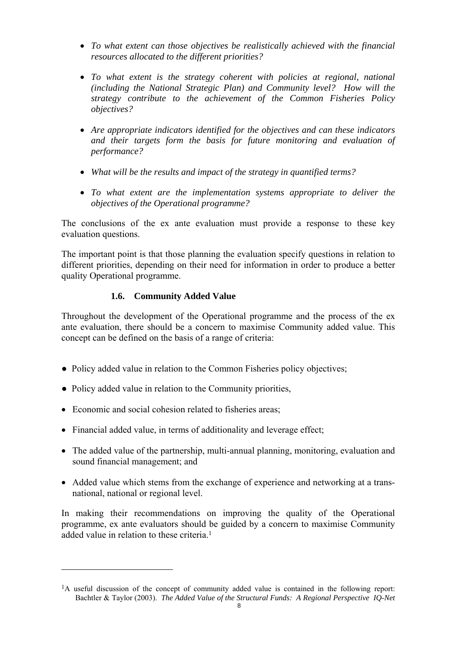- *To what extent can those objectives be realistically achieved with the financial resources allocated to the different priorities?*
- *To what extent is the strategy coherent with policies at regional, national (including the National Strategic Plan) and Community level? How will the strategy contribute to the achievement of the Common Fisheries Policy objectives?*
- *Are appropriate indicators identified for the objectives and can these indicators and their targets form the basis for future monitoring and evaluation of performance?*
- *What will be the results and impact of the strategy in quantified terms?*
- *To what extent are the implementation systems appropriate to deliver the objectives of the Operational programme?*

The conclusions of the ex ante evaluation must provide a response to these key evaluation questions.

The important point is that those planning the evaluation specify questions in relation to different priorities, depending on their need for information in order to produce a better quality Operational programme.

# **1.6. Community Added Value**

Throughout the development of the Operational programme and the process of the ex ante evaluation, there should be a concern to maximise Community added value. This concept can be defined on the basis of a range of criteria:

- Policy added value in relation to the Common Fisheries policy objectives;
- Policy added value in relation to the Community priorities,
- Economic and social cohesion related to fisheries areas;

 $\overline{a}$ 

- Financial added value, in terms of additionality and leverage effect;
- The added value of the partnership, multi-annual planning, monitoring, evaluation and sound financial management; and
- Added value which stems from the exchange of experience and networking at a transnational, national or regional level.

In making their recommendations on improving the quality of the Operational programme, ex ante evaluators should be guided by a concern to maximise Community added value in relation to these criteria<sup>1</sup>

 $1_A$  useful discussion of the concept of community added value is contained in the following report: Bachtler & Taylor (2003). *The Added Value of the Structural Funds: A Regional Perspective IQ-Net*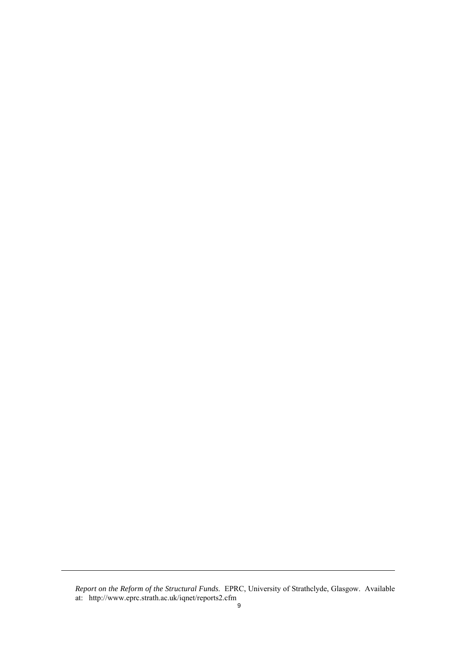*Report on the Reform of the Structural Funds*. EPRC, University of Strathclyde, Glasgow. Available at: http://www.eprc.strath.ac.uk/iqnet/reports2.cfm

<u>.</u>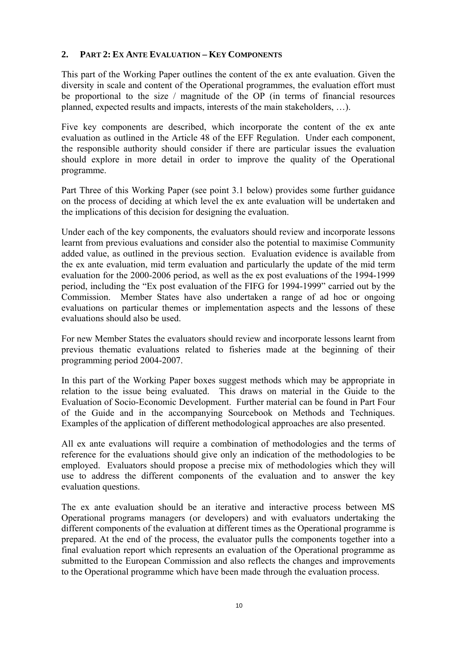## **2. PART 2: EX ANTE EVALUATION – KEY COMPONENTS**

This part of the Working Paper outlines the content of the ex ante evaluation. Given the diversity in scale and content of the Operational programmes, the evaluation effort must be proportional to the size / magnitude of the OP (in terms of financial resources planned, expected results and impacts, interests of the main stakeholders, …).

Five key components are described, which incorporate the content of the ex ante evaluation as outlined in the Article 48 of the EFF Regulation. Under each component, the responsible authority should consider if there are particular issues the evaluation should explore in more detail in order to improve the quality of the Operational programme.

Part Three of this Working Paper (see point 3.1 below) provides some further guidance on the process of deciding at which level the ex ante evaluation will be undertaken and the implications of this decision for designing the evaluation.

Under each of the key components, the evaluators should review and incorporate lessons learnt from previous evaluations and consider also the potential to maximise Community added value, as outlined in the previous section. Evaluation evidence is available from the ex ante evaluation, mid term evaluation and particularly the update of the mid term evaluation for the 2000-2006 period, as well as the ex post evaluations of the 1994-1999 period, including the "Ex post evaluation of the FIFG for 1994-1999" carried out by the Commission. Member States have also undertaken a range of ad hoc or ongoing evaluations on particular themes or implementation aspects and the lessons of these evaluations should also be used.

For new Member States the evaluators should review and incorporate lessons learnt from previous thematic evaluations related to fisheries made at the beginning of their programming period 2004-2007.

In this part of the Working Paper boxes suggest methods which may be appropriate in relation to the issue being evaluated. This draws on material in the Guide to the Evaluation of Socio-Economic Development. Further material can be found in Part Four of the Guide and in the accompanying Sourcebook on Methods and Techniques. Examples of the application of different methodological approaches are also presented.

All ex ante evaluations will require a combination of methodologies and the terms of reference for the evaluations should give only an indication of the methodologies to be employed. Evaluators should propose a precise mix of methodologies which they will use to address the different components of the evaluation and to answer the key evaluation questions.

The ex ante evaluation should be an iterative and interactive process between MS Operational programs managers (or developers) and with evaluators undertaking the different components of the evaluation at different times as the Operational programme is prepared. At the end of the process, the evaluator pulls the components together into a final evaluation report which represents an evaluation of the Operational programme as submitted to the European Commission and also reflects the changes and improvements to the Operational programme which have been made through the evaluation process.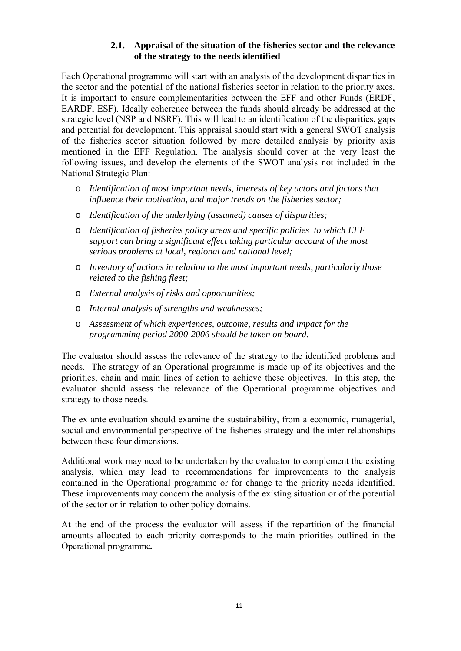## **2.1. Appraisal of the situation of the fisheries sector and the relevance of the strategy to the needs identified**

Each Operational programme will start with an analysis of the development disparities in the sector and the potential of the national fisheries sector in relation to the priority axes. It is important to ensure complementarities between the EFF and other Funds (ERDF, EARDF, ESF). Ideally coherence between the funds should already be addressed at the strategic level (NSP and NSRF). This will lead to an identification of the disparities, gaps and potential for development. This appraisal should start with a general SWOT analysis of the fisheries sector situation followed by more detailed analysis by priority axis mentioned in the EFF Regulation. The analysis should cover at the very least the following issues, and develop the elements of the SWOT analysis not included in the National Strategic Plan:

- o *Identification of most important needs, interests of key actors and factors that influence their motivation, and major trends on the fisheries sector;*
- o *Identification of the underlying (assumed) causes of disparities;*
- o *Identification of fisheries policy areas and specific policies to which EFF support can bring a significant effect taking particular account of the most serious problems at local, regional and national level;*
- o *Inventory of actions in relation to the most important needs*, *particularly those related to the fishing fleet;*
- o *External analysis of risks and opportunities;*
- o *Internal analysis of strengths and weaknesses;*
- o *Assessment of which experiences, outcome, results and impact for the programming period 2000-2006 should be taken on board.*

The evaluator should assess the relevance of the strategy to the identified problems and needs. The strategy of an Operational programme is made up of its objectives and the priorities, chain and main lines of action to achieve these objectives. In this step, the evaluator should assess the relevance of the Operational programme objectives and strategy to those needs.

The ex ante evaluation should examine the sustainability, from a economic, managerial, social and environmental perspective of the fisheries strategy and the inter-relationships between these four dimensions.

Additional work may need to be undertaken by the evaluator to complement the existing analysis, which may lead to recommendations for improvements to the analysis contained in the Operational programme or for change to the priority needs identified. These improvements may concern the analysis of the existing situation or of the potential of the sector or in relation to other policy domains.

At the end of the process the evaluator will assess if the repartition of the financial amounts allocated to each priority corresponds to the main priorities outlined in the Operational programme*.*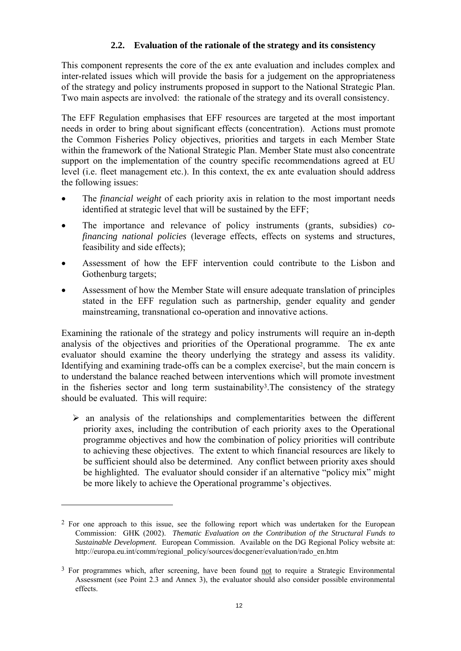# **2.2. Evaluation of the rationale of the strategy and its consistency**

This component represents the core of the ex ante evaluation and includes complex and inter-related issues which will provide the basis for a judgement on the appropriateness of the strategy and policy instruments proposed in support to the National Strategic Plan. Two main aspects are involved: the rationale of the strategy and its overall consistency.

The EFF Regulation emphasises that EFF resources are targeted at the most important needs in order to bring about significant effects (concentration). Actions must promote the Common Fisheries Policy objectives, priorities and targets in each Member State within the framework of the National Strategic Plan. Member State must also concentrate support on the implementation of the country specific recommendations agreed at EU level (i.e. fleet management etc.). In this context, the ex ante evaluation should address the following issues:

- The *financial weight* of each priority axis in relation to the most important needs identified at strategic level that will be sustained by the EFF;
- The importance and relevance of policy instruments (grants, subsidies) *cofinancing national policies* (leverage effects, effects on systems and structures, feasibility and side effects);
- Assessment of how the EFF intervention could contribute to the Lisbon and Gothenburg targets;
- Assessment of how the Member State will ensure adequate translation of principles stated in the EFF regulation such as partnership, gender equality and gender mainstreaming, transnational co-operation and innovative actions.

Examining the rationale of the strategy and policy instruments will require an in-depth analysis of the objectives and priorities of the Operational programme. The ex ante evaluator should examine the theory underlying the strategy and assess its validity. Identifying and examining trade-offs can be a complex exercise2, but the main concern is to understand the balance reached between interventions which will promote investment in the fisheries sector and long term sustainability<sup>3</sup>. The consistency of the strategy should be evaluated. This will require:

 $\triangleright$  an analysis of the relationships and complementarities between the different priority axes, including the contribution of each priority axes to the Operational programme objectives and how the combination of policy priorities will contribute to achieving these objectives. The extent to which financial resources are likely to be sufficient should also be determined. Any conflict between priority axes should be highlighted. The evaluator should consider if an alternative "policy mix" might be more likely to achieve the Operational programme's objectives.

 $\overline{a}$ 

<sup>2</sup> For one approach to this issue, see the following report which was undertaken for the European Commission: GHK (2002). *Thematic Evaluation on the Contribution of the Structural Funds to Sustainable Development.* European Commission. Available on the DG Regional Policy website at: http://europa.eu.int/comm/regional\_policy/sources/docgener/evaluation/rado\_en.htm

<sup>&</sup>lt;sup>3</sup> For programmes which, after screening, have been found not to require a Strategic Environmental Assessment (see Point 2.3 and Annex 3), the evaluator should also consider possible environmental effects.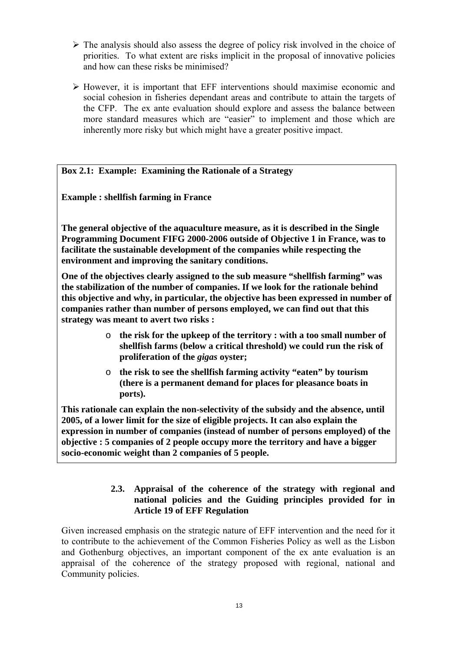- $\triangleright$  The analysis should also assess the degree of policy risk involved in the choice of priorities. To what extent are risks implicit in the proposal of innovative policies and how can these risks be minimised?
- $\triangleright$  However, it is important that EFF interventions should maximise economic and social cohesion in fisheries dependant areas and contribute to attain the targets of the CFP. The ex ante evaluation should explore and assess the balance between more standard measures which are "easier" to implement and those which are inherently more risky but which might have a greater positive impact.

## **Box 2.1: Example: Examining the Rationale of a Strategy**

**Example : shellfish farming in France** 

**The general objective of the aquaculture measure, as it is described in the Single Programming Document FIFG 2000-2006 outside of Objective 1 in France, was to facilitate the sustainable development of the companies while respecting the environment and improving the sanitary conditions.** 

**One of the objectives clearly assigned to the sub measure "shellfish farming" was the stabilization of the number of companies. If we look for the rationale behind this objective and why, in particular, the objective has been expressed in number of companies rather than number of persons employed, we can find out that this strategy was meant to avert two risks :** 

- o **the risk for the upkeep of the territory : with a too small number of shellfish farms (below a critical threshold) we could run the risk of proliferation of the** *gigas* **oyster;**
- o **the risk to see the shellfish farming activity "eaten" by tourism (there is a permanent demand for places for pleasance boats in ports).**

**This rationale can explain the non-selectivity of the subsidy and the absence, until 2005, of a lower limit for the size of eligible projects. It can also explain the expression in number of companies (instead of number of persons employed) of the objective : 5 companies of 2 people occupy more the territory and have a bigger socio-economic weight than 2 companies of 5 people.**

# **2.3. Appraisal of the coherence of the strategy with regional and national policies and the Guiding principles provided for in Article 19 of EFF Regulation**

Given increased emphasis on the strategic nature of EFF intervention and the need for it to contribute to the achievement of the Common Fisheries Policy as well as the Lisbon and Gothenburg objectives, an important component of the ex ante evaluation is an appraisal of the coherence of the strategy proposed with regional, national and Community policies.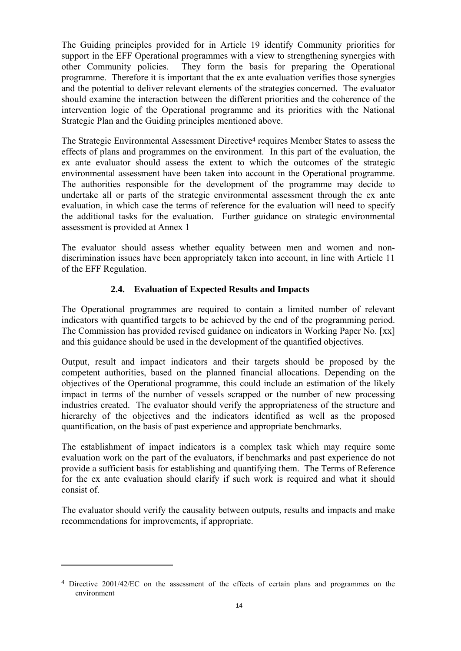The Guiding principles provided for in Article 19 identify Community priorities for support in the EFF Operational programmes with a view to strengthening synergies with other Community policies. They form the basis for preparing the Operational programme. Therefore it is important that the ex ante evaluation verifies those synergies and the potential to deliver relevant elements of the strategies concerned. The evaluator should examine the interaction between the different priorities and the coherence of the intervention logic of the Operational programme and its priorities with the National Strategic Plan and the Guiding principles mentioned above.

The Strategic Environmental Assessment Directive4 requires Member States to assess the effects of plans and programmes on the environment. In this part of the evaluation, the ex ante evaluator should assess the extent to which the outcomes of the strategic environmental assessment have been taken into account in the Operational programme. The authorities responsible for the development of the programme may decide to undertake all or parts of the strategic environmental assessment through the ex ante evaluation, in which case the terms of reference for the evaluation will need to specify the additional tasks for the evaluation. Further guidance on strategic environmental assessment is provided at Annex 1

The evaluator should assess whether equality between men and women and nondiscrimination issues have been appropriately taken into account, in line with Article 11 of the EFF Regulation.

## **2.4. Evaluation of Expected Results and Impacts**

The Operational programmes are required to contain a limited number of relevant indicators with quantified targets to be achieved by the end of the programming period. The Commission has provided revised guidance on indicators in Working Paper No. [xx] and this guidance should be used in the development of the quantified objectives.

Output, result and impact indicators and their targets should be proposed by the competent authorities, based on the planned financial allocations. Depending on the objectives of the Operational programme, this could include an estimation of the likely impact in terms of the number of vessels scrapped or the number of new processing industries created. The evaluator should verify the appropriateness of the structure and hierarchy of the objectives and the indicators identified as well as the proposed quantification, on the basis of past experience and appropriate benchmarks.

The establishment of impact indicators is a complex task which may require some evaluation work on the part of the evaluators, if benchmarks and past experience do not provide a sufficient basis for establishing and quantifying them. The Terms of Reference for the ex ante evaluation should clarify if such work is required and what it should consist of.

The evaluator should verify the causality between outputs, results and impacts and make recommendations for improvements, if appropriate.

 $\overline{a}$ 

<sup>4</sup> Directive 2001/42/EC on the assessment of the effects of certain plans and programmes on the environment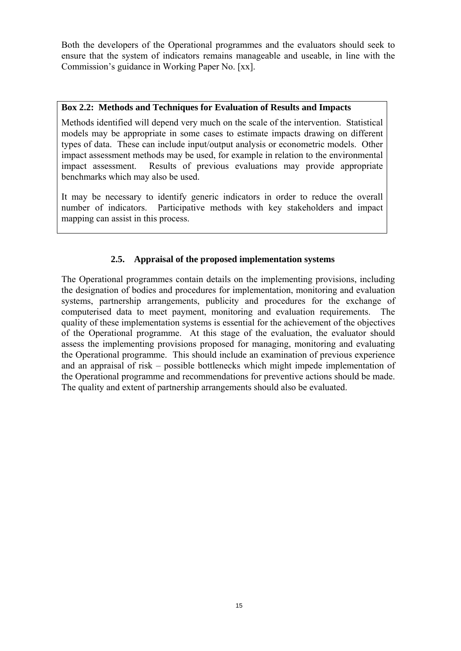Both the developers of the Operational programmes and the evaluators should seek to ensure that the system of indicators remains manageable and useable, in line with the Commission's guidance in Working Paper No. [xx].

#### **Box 2.2: Methods and Techniques for Evaluation of Results and Impacts**

Methods identified will depend very much on the scale of the intervention. Statistical models may be appropriate in some cases to estimate impacts drawing on different types of data. These can include input/output analysis or econometric models. Other impact assessment methods may be used, for example in relation to the environmental impact assessment. Results of previous evaluations may provide appropriate benchmarks which may also be used.

It may be necessary to identify generic indicators in order to reduce the overall number of indicators. Participative methods with key stakeholders and impact mapping can assist in this process.

# **2.5. Appraisal of the proposed implementation systems**

The Operational programmes contain details on the implementing provisions, including the designation of bodies and procedures for implementation, monitoring and evaluation systems, partnership arrangements, publicity and procedures for the exchange of computerised data to meet payment, monitoring and evaluation requirements. The quality of these implementation systems is essential for the achievement of the objectives of the Operational programme. At this stage of the evaluation, the evaluator should assess the implementing provisions proposed for managing, monitoring and evaluating the Operational programme. This should include an examination of previous experience and an appraisal of risk – possible bottlenecks which might impede implementation of the Operational programme and recommendations for preventive actions should be made. The quality and extent of partnership arrangements should also be evaluated.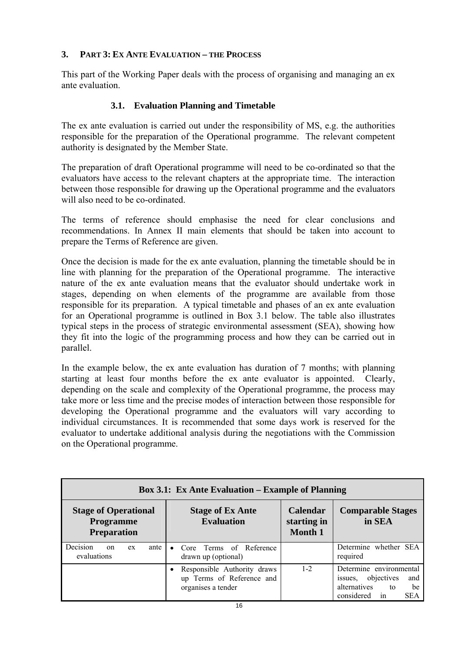# **3. PART 3: EX ANTE EVALUATION – THE PROCESS**

This part of the Working Paper deals with the process of organising and managing an ex ante evaluation.

# **3.1. Evaluation Planning and Timetable**

The ex ante evaluation is carried out under the responsibility of MS, e.g. the authorities responsible for the preparation of the Operational programme. The relevant competent authority is designated by the Member State.

The preparation of draft Operational programme will need to be co-ordinated so that the evaluators have access to the relevant chapters at the appropriate time. The interaction between those responsible for drawing up the Operational programme and the evaluators will also need to be co-ordinated.

The terms of reference should emphasise the need for clear conclusions and recommendations. In Annex II main elements that should be taken into account to prepare the Terms of Reference are given.

Once the decision is made for the ex ante evaluation, planning the timetable should be in line with planning for the preparation of the Operational programme. The interactive nature of the ex ante evaluation means that the evaluator should undertake work in stages, depending on when elements of the programme are available from those responsible for its preparation. A typical timetable and phases of an ex ante evaluation for an Operational programme is outlined in Box 3.1 below. The table also illustrates typical steps in the process of strategic environmental assessment (SEA), showing how they fit into the logic of the programming process and how they can be carried out in parallel.

In the example below, the ex ante evaluation has duration of 7 months; with planning starting at least four months before the ex ante evaluator is appointed. Clearly, depending on the scale and complexity of the Operational programme, the process may take more or less time and the precise modes of interaction between those responsible for developing the Operational programme and the evaluators will vary according to individual circumstances. It is recommended that some days work is reserved for the evaluator to undertake additional analysis during the negotiations with the Commission on the Operational programme.

| <b>Box 3.1: Ex Ante Evaluation – Example of Planning</b>              |                                                                                |                                                  |                                                                                                                       |
|-----------------------------------------------------------------------|--------------------------------------------------------------------------------|--------------------------------------------------|-----------------------------------------------------------------------------------------------------------------------|
| <b>Stage of Operational</b><br><b>Programme</b><br><b>Preparation</b> | <b>Stage of Ex Ante</b><br><b>Evaluation</b>                                   | <b>Calendar</b><br>starting in<br><b>Month 1</b> | <b>Comparable Stages</b><br>in SEA                                                                                    |
| Decision<br>ante<br><sub>on</sub><br>ex<br>evaluations                | Core Terms of Reference<br>$\bullet$<br>drawn up (optional)                    |                                                  | Determine whether SEA<br>required                                                                                     |
|                                                                       | Responsible Authority draws<br>up Terms of Reference and<br>organises a tender | $1 - 2$                                          | Determine environmental<br>objectives<br>and<br>issues.<br>alternatives<br>be<br>to<br>considered<br><b>SEA</b><br>in |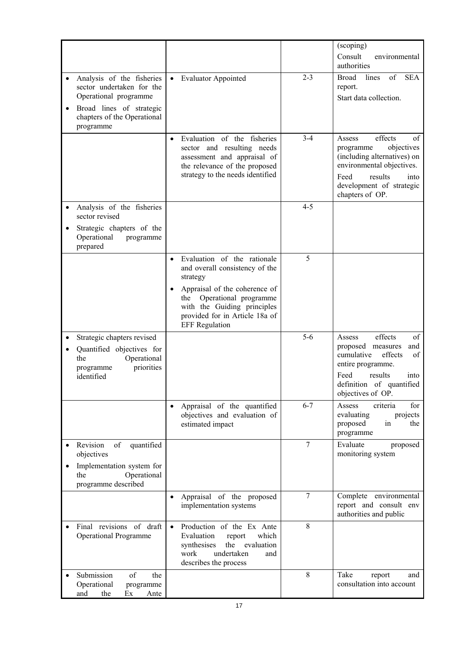|                                                                                                                        |                                                                                                                                                                                                                                                   |                | (scoping)<br>Consult<br>environmental                                                                                                                                                    |
|------------------------------------------------------------------------------------------------------------------------|---------------------------------------------------------------------------------------------------------------------------------------------------------------------------------------------------------------------------------------------------|----------------|------------------------------------------------------------------------------------------------------------------------------------------------------------------------------------------|
|                                                                                                                        |                                                                                                                                                                                                                                                   |                | authorities                                                                                                                                                                              |
| Analysis of the fisheries<br>sector undertaken for the<br>Operational programme                                        | <b>Evaluator Appointed</b><br>$\bullet$                                                                                                                                                                                                           | $2 - 3$        | of<br><b>Broad</b><br>lines<br><b>SEA</b><br>report.<br>Start data collection.                                                                                                           |
| Broad lines of strategic<br>chapters of the Operational<br>programme                                                   |                                                                                                                                                                                                                                                   |                |                                                                                                                                                                                          |
|                                                                                                                        | Evaluation of the fisheries<br>$\bullet$<br>sector and resulting needs<br>assessment and appraisal of<br>the relevance of the proposed<br>strategy to the needs identified                                                                        | $3-4$          | effects<br>Assess<br>οf<br>objectives<br>programme<br>(including alternatives) on<br>environmental objectives.<br>results<br>Feed<br>into<br>development of strategic<br>chapters of OP. |
| Analysis of the fisheries<br>sector revised<br>Strategic chapters of the<br>Operational<br>programme<br>prepared       |                                                                                                                                                                                                                                                   | $4 - 5$        |                                                                                                                                                                                          |
|                                                                                                                        | Evaluation of the rationale<br>$\bullet$<br>and overall consistency of the<br>strategy<br>Appraisal of the coherence of<br>Operational programme<br>the<br>with the Guiding principles<br>provided for in Article 18a of<br><b>EFF</b> Regulation | 5              |                                                                                                                                                                                          |
| Strategic chapters revised<br>Quantified objectives for<br>Operational<br>the<br>priorities<br>programme<br>identified |                                                                                                                                                                                                                                                   | $5-6$          | effects<br>of<br>Assess<br>proposed measures<br>and<br>cumulative<br>effects<br>of<br>entire programme.<br>Feed<br>results<br>into<br>definition of quantified<br>objectives of OP.      |
|                                                                                                                        | Appraisal of the quantified<br>objectives and evaluation of<br>estimated impact                                                                                                                                                                   | $6 - 7$        | criteria<br>for<br>Assess<br>evaluating<br>projects<br>in<br>proposed<br>the<br>programme                                                                                                |
| Revision<br>of<br>quantified<br>objectives<br>Implementation system for<br>Operational<br>the<br>programme described   |                                                                                                                                                                                                                                                   | $\overline{7}$ | Evaluate<br>proposed<br>monitoring system                                                                                                                                                |
|                                                                                                                        | Appraisal of the proposed<br>$\bullet$<br>implementation systems                                                                                                                                                                                  | $\overline{7}$ | Complete environmental<br>report and consult env<br>authorities and public                                                                                                               |
| Final revisions of draft<br><b>Operational Programme</b>                                                               | Production of the Ex Ante<br>$\bullet$<br>Evaluation<br>report<br>which<br>synthesises<br>the<br>evaluation<br>undertaken<br>work<br>and<br>describes the process                                                                                 | 8              |                                                                                                                                                                                          |
| Submission<br>of<br>the<br>Operational<br>programme<br>the<br>and<br>Ante<br>Ex                                        |                                                                                                                                                                                                                                                   | 8              | Take<br>report<br>and<br>consultation into account                                                                                                                                       |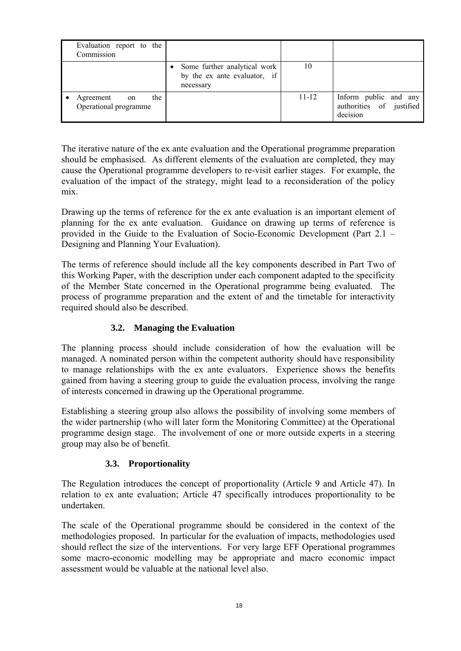| Evaluation report to the<br>Commission          |                                                                           |           |                                                               |
|-------------------------------------------------|---------------------------------------------------------------------------|-----------|---------------------------------------------------------------|
|                                                 | Some further analytical work<br>by the ex ante evaluator, if<br>necessary | 10        |                                                               |
| the<br>Agreement<br>on<br>Operational programme |                                                                           | $11 - 12$ | Inform public and any<br>authorities of justified<br>decision |

The iterative nature of the ex ante evaluation and the Operational programme preparation should be emphasised. As different elements of the evaluation are completed, they may cause the Operational programme developers to re-visit earlier stages. For example, the evaluation of the impact of the strategy, might lead to a reconsideration of the policy mix.

Drawing up the terms of reference for the ex ante evaluation is an important element of planning for the ex ante evaluation. Guidance on drawing up terms of reference is provided in the Guide to the Evaluation of Socio-Economic Development (Part 2.1 – Designing and Planning Your Evaluation).

The terms of reference should include all the key components described in Part Two of this Working Paper, with the description under each component adapted to the specificity of the Member State concerned in the Operational programme being evaluated. The process of programme preparation and the extent of and the timetable for interactivity required should also be described.

## **3.2. Managing the Evaluation**

The planning process should include consideration of how the evaluation will be managed. A nominated person within the competent authority should have responsibility to manage relationships with the ex ante evaluators. Experience shows the benefits gained from having a steering group to guide the evaluation process, involving the range of interests concerned in drawing up the Operational programme.

Establishing a steering group also allows the possibility of involving some members of the wider partnership (who will later form the Monitoring Committee) at the Operational programme design stage. The involvement of one or more outside experts in a steering group may also be of benefit.

## **3.3. Proportionality**

The Regulation introduces the concept of proportionality (Article 9 and Article 47). In relation to ex ante evaluation; Article 47 specifically introduces proportionality to be undertaken.

The scale of the Operational programme should be considered in the context of the methodologies proposed. In particular for the evaluation of impacts, methodologies used should reflect the size of the interventions. For very large EFF Operational programmes some macro-economic modelling may be appropriate and macro economic impact assessment would be valuable at the national level also.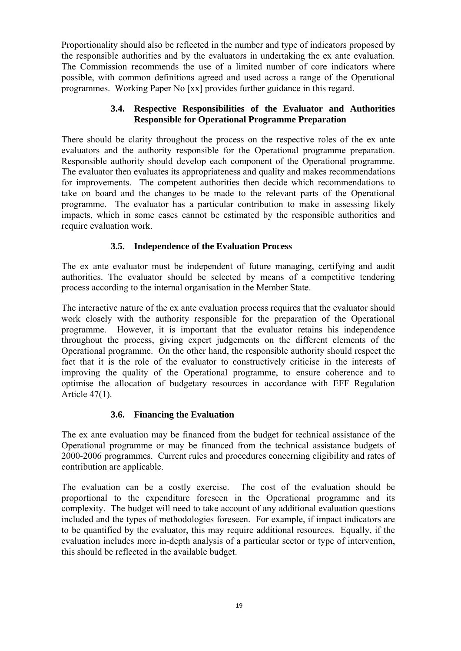Proportionality should also be reflected in the number and type of indicators proposed by the responsible authorities and by the evaluators in undertaking the ex ante evaluation. The Commission recommends the use of a limited number of core indicators where possible, with common definitions agreed and used across a range of the Operational programmes. Working Paper No [xx] provides further guidance in this regard.

#### **3.4. Respective Responsibilities of the Evaluator and Authorities Responsible for Operational Programme Preparation**

There should be clarity throughout the process on the respective roles of the ex ante evaluators and the authority responsible for the Operational programme preparation. Responsible authority should develop each component of the Operational programme. The evaluator then evaluates its appropriateness and quality and makes recommendations for improvements. The competent authorities then decide which recommendations to take on board and the changes to be made to the relevant parts of the Operational programme. The evaluator has a particular contribution to make in assessing likely impacts, which in some cases cannot be estimated by the responsible authorities and require evaluation work.

## **3.5. Independence of the Evaluation Process**

The ex ante evaluator must be independent of future managing, certifying and audit authorities. The evaluator should be selected by means of a competitive tendering process according to the internal organisation in the Member State.

The interactive nature of the ex ante evaluation process requires that the evaluator should work closely with the authority responsible for the preparation of the Operational programme. However, it is important that the evaluator retains his independence throughout the process, giving expert judgements on the different elements of the Operational programme. On the other hand, the responsible authority should respect the fact that it is the role of the evaluator to constructively criticise in the interests of improving the quality of the Operational programme, to ensure coherence and to optimise the allocation of budgetary resources in accordance with EFF Regulation Article 47(1).

## **3.6. Financing the Evaluation**

The ex ante evaluation may be financed from the budget for technical assistance of the Operational programme or may be financed from the technical assistance budgets of 2000-2006 programmes. Current rules and procedures concerning eligibility and rates of contribution are applicable.

The evaluation can be a costly exercise. The cost of the evaluation should be proportional to the expenditure foreseen in the Operational programme and its complexity. The budget will need to take account of any additional evaluation questions included and the types of methodologies foreseen. For example, if impact indicators are to be quantified by the evaluator, this may require additional resources. Equally, if the evaluation includes more in-depth analysis of a particular sector or type of intervention, this should be reflected in the available budget.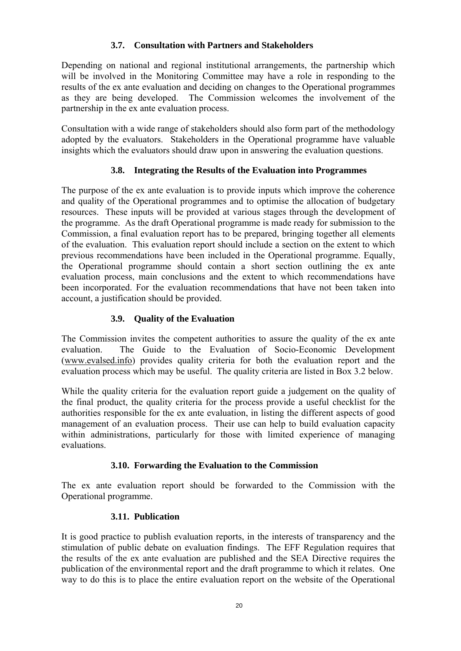# **3.7. Consultation with Partners and Stakeholders**

Depending on national and regional institutional arrangements, the partnership which will be involved in the Monitoring Committee may have a role in responding to the results of the ex ante evaluation and deciding on changes to the Operational programmes as they are being developed. The Commission welcomes the involvement of the partnership in the ex ante evaluation process.

Consultation with a wide range of stakeholders should also form part of the methodology adopted by the evaluators. Stakeholders in the Operational programme have valuable insights which the evaluators should draw upon in answering the evaluation questions.

# **3.8. Integrating the Results of the Evaluation into Programmes**

The purpose of the ex ante evaluation is to provide inputs which improve the coherence and quality of the Operational programmes and to optimise the allocation of budgetary resources. These inputs will be provided at various stages through the development of the programme. As the draft Operational programme is made ready for submission to the Commission, a final evaluation report has to be prepared, bringing together all elements of the evaluation. This evaluation report should include a section on the extent to which previous recommendations have been included in the Operational programme. Equally, the Operational programme should contain a short section outlining the ex ante evaluation process, main conclusions and the extent to which recommendations have been incorporated. For the evaluation recommendations that have not been taken into account, a justification should be provided.

# **3.9. Quality of the Evaluation**

The Commission invites the competent authorities to assure the quality of the ex ante evaluation. The Guide to the Evaluation of Socio-Economic Development (www.evalsed.info) provides quality criteria for both the evaluation report and the evaluation process which may be useful. The quality criteria are listed in Box 3.2 below.

While the quality criteria for the evaluation report guide a judgement on the quality of the final product, the quality criteria for the process provide a useful checklist for the authorities responsible for the ex ante evaluation, in listing the different aspects of good management of an evaluation process. Their use can help to build evaluation capacity within administrations, particularly for those with limited experience of managing evaluations.

## **3.10. Forwarding the Evaluation to the Commission**

The ex ante evaluation report should be forwarded to the Commission with the Operational programme.

## **3.11. Publication**

It is good practice to publish evaluation reports, in the interests of transparency and the stimulation of public debate on evaluation findings. The EFF Regulation requires that the results of the ex ante evaluation are published and the SEA Directive requires the publication of the environmental report and the draft programme to which it relates. One way to do this is to place the entire evaluation report on the website of the Operational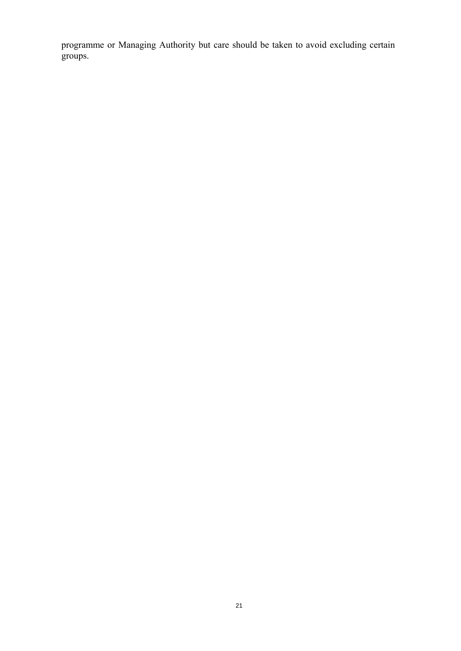programme or Managing Authority but care should be taken to avoid excluding certain groups.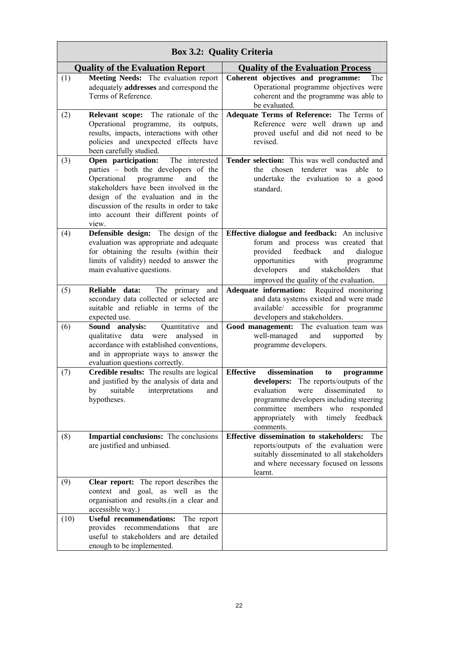|      | <b>Box 3.2: Quality Criteria</b>                                                                                                                                                                                                                                                                          |                                                                                                                                                                                                                                                                          |  |  |
|------|-----------------------------------------------------------------------------------------------------------------------------------------------------------------------------------------------------------------------------------------------------------------------------------------------------------|--------------------------------------------------------------------------------------------------------------------------------------------------------------------------------------------------------------------------------------------------------------------------|--|--|
|      | <b>Quality of the Evaluation Report</b>                                                                                                                                                                                                                                                                   | <b>Quality of the Evaluation Process</b>                                                                                                                                                                                                                                 |  |  |
| (1)  | Meeting Needs: The evaluation report<br>adequately addresses and correspond the<br>Terms of Reference.                                                                                                                                                                                                    | Coherent objectives and programme:<br>The<br>Operational programme objectives were<br>coherent and the programme was able to<br>be evaluated.                                                                                                                            |  |  |
| (2)  | Relevant scope: The rationale of the<br>Operational programme, its outputs,<br>results, impacts, interactions with other<br>policies and unexpected effects have<br>been carefully studied.                                                                                                               | Adequate Terms of Reference: The Terms of<br>Reference were well drawn up and<br>proved useful and did not need to be<br>revised.                                                                                                                                        |  |  |
| (3)  | Open participation:<br>The interested<br>parties - both the developers of the<br>programme<br>and<br>Operational<br>the<br>stakeholders have been involved in the<br>design of the evaluation and in the<br>discussion of the results in order to take<br>into account their different points of<br>view. | Tender selection: This was well conducted and<br>chosen<br>tenderer was<br>able<br>the<br>to<br>undertake the evaluation to a good<br>standard.                                                                                                                          |  |  |
| (4)  | Defensible design: The design of the<br>evaluation was appropriate and adequate<br>for obtaining the results (within their<br>limits of validity) needed to answer the<br>main evaluative questions.                                                                                                      | Effective dialogue and feedback: An inclusive<br>forum and process was created that<br>feedback<br>provided<br>and<br>dialogue<br>opportunities<br>with<br>programme<br>developers<br>and<br>stakeholders<br>that<br>improved the quality of the evaluation.             |  |  |
| (5)  | The primary<br>Reliable data:<br>and<br>secondary data collected or selected are<br>suitable and reliable in terms of the<br>expected use.                                                                                                                                                                | Adequate information:<br>Required monitoring<br>and data systems existed and were made<br>available/ accessible for programme<br>developers and stakeholders.                                                                                                            |  |  |
| (6)  | Sound analysis:<br>Quantitative<br>and<br>qualitative<br>data<br>in<br>were<br>analysed<br>accordance with established conventions,<br>and in appropriate ways to answer the<br>evaluation questions correctly.                                                                                           | Good management: The evaluation team was<br>well-managed<br>and<br>supported<br>by<br>programme developers.                                                                                                                                                              |  |  |
| (7)  | Credible results: The results are logical<br>and justified by the analysis of data and<br>by suitable interpretations and<br>hypotheses.                                                                                                                                                                  | <b>Effective</b><br>dissemination<br>to<br>programme<br>developers: The reports/outputs of the<br>evaluation were disseminated to<br>programme developers including steering<br>committee members who responded<br>with timely<br>appropriately<br>feedback<br>comments. |  |  |
| (8)  | <b>Impartial conclusions:</b> The conclusions<br>are justified and unbiased.                                                                                                                                                                                                                              | Effective dissemination to stakeholders: The<br>reports/outputs of the evaluation were<br>suitably disseminated to all stakeholders<br>and where necessary focused on lessons<br>learnt.                                                                                 |  |  |
| (9)  | <b>Clear report:</b> The report describes the<br>context and goal, as well as the<br>organisation and results.(in a clear and<br>accessible way.)                                                                                                                                                         |                                                                                                                                                                                                                                                                          |  |  |
| (10) | <b>Useful recommendations:</b><br>The report<br>provides recommendations<br>that<br>are<br>useful to stakeholders and are detailed<br>enough to be implemented.                                                                                                                                           |                                                                                                                                                                                                                                                                          |  |  |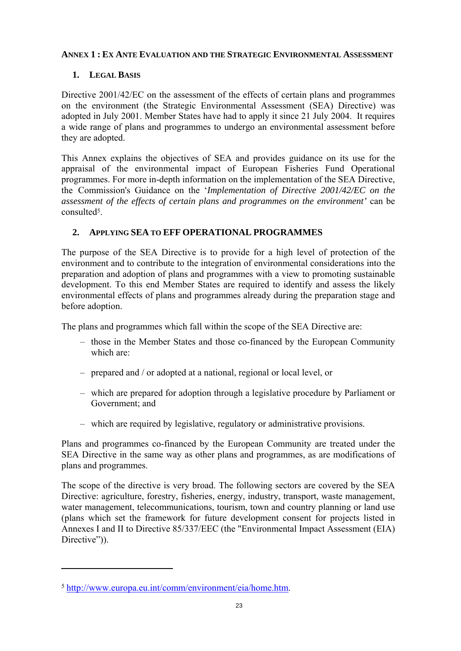#### **ANNEX 1 : EX ANTE EVALUATION AND THE STRATEGIC ENVIRONMENTAL ASSESSMENT**

# **1. LEGAL BASIS**

Directive 2001/42/EC on the assessment of the effects of certain plans and programmes on the environment (the Strategic Environmental Assessment (SEA) Directive) was adopted in July 2001. Member States have had to apply it since 21 July 2004. It requires a wide range of plans and programmes to undergo an environmental assessment before they are adopted.

This Annex explains the objectives of SEA and provides guidance on its use for the appraisal of the environmental impact of European Fisheries Fund Operational programmes. For more in-depth information on the implementation of the SEA Directive, the Commission's Guidance on the '*Implementation of Directive 2001/42/EC on the assessment of the effects of certain plans and programmes on the environment'* can be consulted5.

# **2. APPLYING SEA TO EFF OPERATIONAL PROGRAMMES**

The purpose of the SEA Directive is to provide for a high level of protection of the environment and to contribute to the integration of environmental considerations into the preparation and adoption of plans and programmes with a view to promoting sustainable development. To this end Member States are required to identify and assess the likely environmental effects of plans and programmes already during the preparation stage and before adoption.

The plans and programmes which fall within the scope of the SEA Directive are:

- those in the Member States and those co-financed by the European Community which are:
- prepared and / or adopted at a national, regional or local level, or
- which are prepared for adoption through a legislative procedure by Parliament or Government; and
- which are required by legislative, regulatory or administrative provisions.

Plans and programmes co-financed by the European Community are treated under the SEA Directive in the same way as other plans and programmes, as are modifications of plans and programmes.

The scope of the directive is very broad. The following sectors are covered by the SEA Directive: agriculture, forestry, fisheries, energy, industry, transport, waste management, water management, telecommunications, tourism, town and country planning or land use (plans which set the framework for future development consent for projects listed in Annexes I and II to Directive 85/337/EEC (the "Environmental Impact Assessment (EIA) Directive")).

 $\overline{a}$ 

<sup>5</sup> http://www.europa.eu.int/comm/environment/eia/home.htm.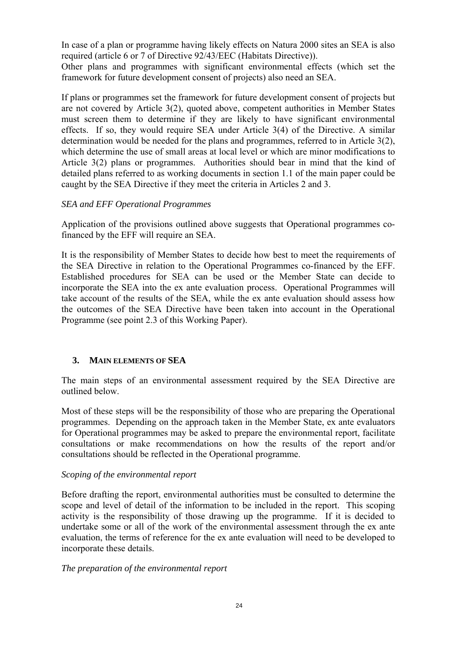In case of a plan or programme having likely effects on Natura 2000 sites an SEA is also required (article 6 or 7 of Directive 92/43/EEC (Habitats Directive)).

Other plans and programmes with significant environmental effects (which set the framework for future development consent of projects) also need an SEA.

If plans or programmes set the framework for future development consent of projects but are not covered by Article 3(2), quoted above, competent authorities in Member States must screen them to determine if they are likely to have significant environmental effects. If so, they would require SEA under Article 3(4) of the Directive. A similar determination would be needed for the plans and programmes, referred to in Article 3(2), which determine the use of small areas at local level or which are minor modifications to Article 3(2) plans or programmes. Authorities should bear in mind that the kind of detailed plans referred to as working documents in section 1.1 of the main paper could be caught by the SEA Directive if they meet the criteria in Articles 2 and 3.

#### *SEA and EFF Operational Programmes*

Application of the provisions outlined above suggests that Operational programmes cofinanced by the EFF will require an SEA.

It is the responsibility of Member States to decide how best to meet the requirements of the SEA Directive in relation to the Operational Programmes co-financed by the EFF. Established procedures for SEA can be used or the Member State can decide to incorporate the SEA into the ex ante evaluation process. Operational Programmes will take account of the results of the SEA, while the ex ante evaluation should assess how the outcomes of the SEA Directive have been taken into account in the Operational Programme (see point 2.3 of this Working Paper).

## **3. MAIN ELEMENTS OF SEA**

The main steps of an environmental assessment required by the SEA Directive are outlined below.

Most of these steps will be the responsibility of those who are preparing the Operational programmes. Depending on the approach taken in the Member State, ex ante evaluators for Operational programmes may be asked to prepare the environmental report, facilitate consultations or make recommendations on how the results of the report and/or consultations should be reflected in the Operational programme.

#### *Scoping of the environmental report*

Before drafting the report, environmental authorities must be consulted to determine the scope and level of detail of the information to be included in the report. This scoping activity is the responsibility of those drawing up the programme. If it is decided to undertake some or all of the work of the environmental assessment through the ex ante evaluation, the terms of reference for the ex ante evaluation will need to be developed to incorporate these details.

#### *The preparation of the environmental report*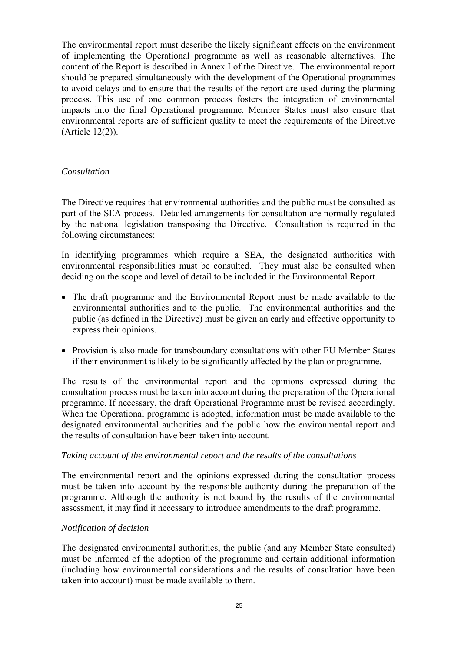The environmental report must describe the likely significant effects on the environment of implementing the Operational programme as well as reasonable alternatives. The content of the Report is described in Annex I of the Directive. The environmental report should be prepared simultaneously with the development of the Operational programmes to avoid delays and to ensure that the results of the report are used during the planning process. This use of one common process fosters the integration of environmental impacts into the final Operational programme. Member States must also ensure that environmental reports are of sufficient quality to meet the requirements of the Directive (Article 12(2)).

#### *Consultation*

The Directive requires that environmental authorities and the public must be consulted as part of the SEA process. Detailed arrangements for consultation are normally regulated by the national legislation transposing the Directive. Consultation is required in the following circumstances:

In identifying programmes which require a SEA, the designated authorities with environmental responsibilities must be consulted. They must also be consulted when deciding on the scope and level of detail to be included in the Environmental Report.

- The draft programme and the Environmental Report must be made available to the environmental authorities and to the public. The environmental authorities and the public (as defined in the Directive) must be given an early and effective opportunity to express their opinions.
- Provision is also made for transboundary consultations with other EU Member States if their environment is likely to be significantly affected by the plan or programme.

The results of the environmental report and the opinions expressed during the consultation process must be taken into account during the preparation of the Operational programme. If necessary, the draft Operational Programme must be revised accordingly. When the Operational programme is adopted, information must be made available to the designated environmental authorities and the public how the environmental report and the results of consultation have been taken into account.

#### *Taking account of the environmental report and the results of the consultations*

The environmental report and the opinions expressed during the consultation process must be taken into account by the responsible authority during the preparation of the programme. Although the authority is not bound by the results of the environmental assessment, it may find it necessary to introduce amendments to the draft programme.

#### *Notification of decision*

The designated environmental authorities, the public (and any Member State consulted) must be informed of the adoption of the programme and certain additional information (including how environmental considerations and the results of consultation have been taken into account) must be made available to them.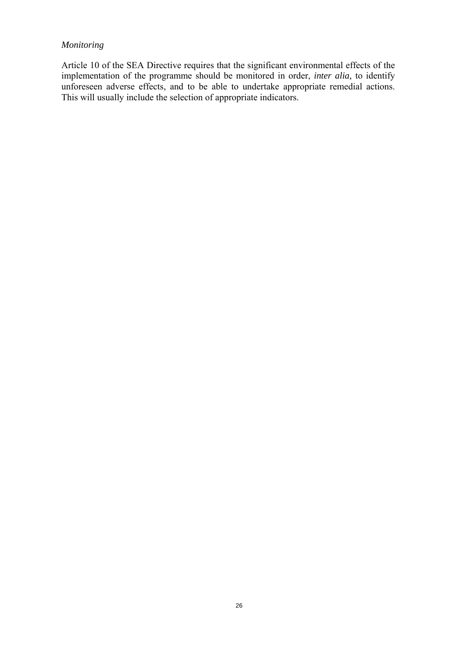# *Monitoring*

Article 10 of the SEA Directive requires that the significant environmental effects of the implementation of the programme should be monitored in order, *inter alia,* to identify unforeseen adverse effects, and to be able to undertake appropriate remedial actions. This will usually include the selection of appropriate indicators.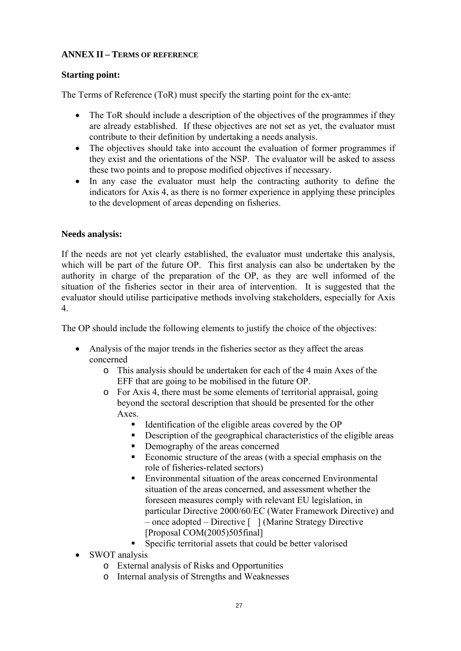#### **ANNEX II – TERMS OF REFERENCE**

#### **Starting point:**

The Terms of Reference (ToR) must specify the starting point for the ex-ante:

- The ToR should include a description of the objectives of the programmes if they are already established. If these objectives are not set as yet, the evaluator must contribute to their definition by undertaking a needs analysis.
- The objectives should take into account the evaluation of former programmes if they exist and the orientations of the NSP. The evaluator will be asked to assess these two points and to propose modified objectives if necessary.
- In any case the evaluator must help the contracting authority to define the indicators for Axis 4, as there is no former experience in applying these principles to the development of areas depending on fisheries.

#### **Needs analysis:**

If the needs are not yet clearly established, the evaluator must undertake this analysis, which will be part of the future OP. This first analysis can also be undertaken by the authority in charge of the preparation of the OP, as they are well informed of the situation of the fisheries sector in their area of intervention. It is suggested that the evaluator should utilise participative methods involving stakeholders, especially for Axis 4.

The OP should include the following elements to justify the choice of the objectives:

- Analysis of the major trends in the fisheries sector as they affect the areas concerned
	- o This analysis should be undertaken for each of the 4 main Axes of the EFF that are going to be mobilised in the future OP.
	- o For Axis 4, there must be some elements of territorial appraisal, going beyond the sectoral description that should be presented for the other Axes.
		- $\blacksquare$  Identification of the eligible areas covered by the OP
		- Description of the geographical characteristics of the eligible areas
		- Demography of the areas concerned
		- Economic structure of the areas (with a special emphasis on the role of fisheries-related sectors)
		- Environmental situation of the areas concerned Environmental situation of the areas concerned, and assessment whether the foreseen measures comply with relevant EU legislation, in particular Directive 2000/60/EC (Water Framework Directive) and – once adopted – Directive [ ] (Marine Strategy Directive [Proposal COM(2005)505final]
		- Specific territorial assets that could be better valorised
- SWOT analysis
	- o External analysis of Risks and Opportunities
	- o Internal analysis of Strengths and Weaknesses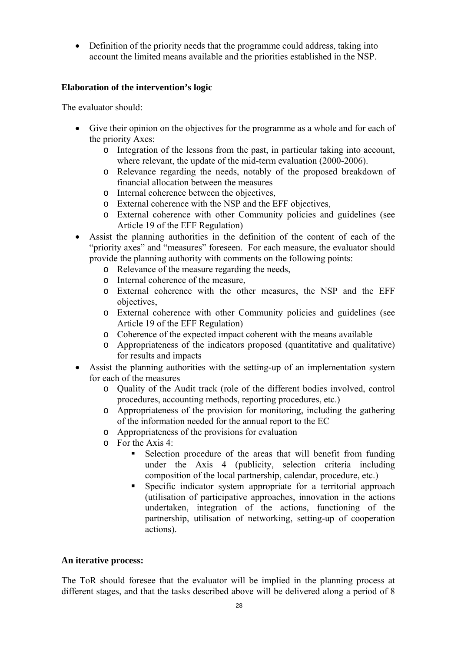• Definition of the priority needs that the programme could address, taking into account the limited means available and the priorities established in the NSP.

## **Elaboration of the intervention's logic**

The evaluator should:

- Give their opinion on the objectives for the programme as a whole and for each of the priority Axes:
	- o Integration of the lessons from the past, in particular taking into account, where relevant, the update of the mid-term evaluation (2000-2006).
	- o Relevance regarding the needs, notably of the proposed breakdown of financial allocation between the measures
	- o Internal coherence between the objectives,
	- o External coherence with the NSP and the EFF objectives,
	- o External coherence with other Community policies and guidelines (see Article 19 of the EFF Regulation)
- Assist the planning authorities in the definition of the content of each of the "priority axes" and "measures" foreseen. For each measure, the evaluator should provide the planning authority with comments on the following points:
	- o Relevance of the measure regarding the needs,
	- o Internal coherence of the measure,
	- o External coherence with the other measures, the NSP and the EFF objectives,
	- o External coherence with other Community policies and guidelines (see Article 19 of the EFF Regulation)
	- o Coherence of the expected impact coherent with the means available
	- o Appropriateness of the indicators proposed (quantitative and qualitative) for results and impacts
- Assist the planning authorities with the setting-up of an implementation system for each of the measures
	- o Quality of the Audit track (role of the different bodies involved, control procedures, accounting methods, reporting procedures, etc.)
	- o Appropriateness of the provision for monitoring, including the gathering of the information needed for the annual report to the EC
	- o Appropriateness of the provisions for evaluation
	- $\circ$  For the Axis 4.
		- Selection procedure of the areas that will benefit from funding under the Axis 4 (publicity, selection criteria including composition of the local partnership, calendar, procedure, etc.)
		- Specific indicator system appropriate for a territorial approach (utilisation of participative approaches, innovation in the actions undertaken, integration of the actions, functioning of the partnership, utilisation of networking, setting-up of cooperation actions).

## **An iterative process:**

The ToR should foresee that the evaluator will be implied in the planning process at different stages, and that the tasks described above will be delivered along a period of 8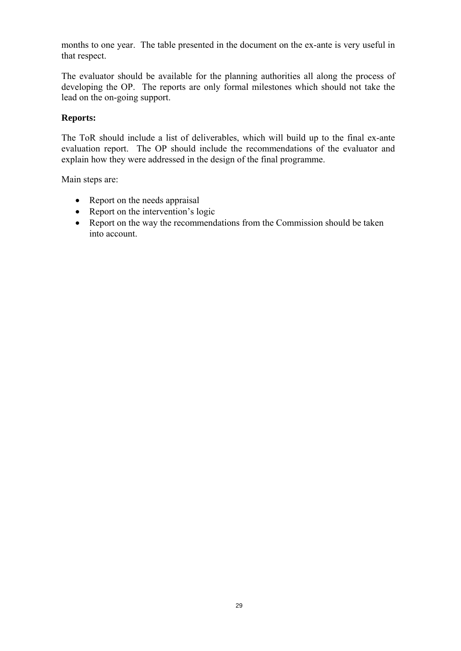months to one year. The table presented in the document on the ex-ante is very useful in that respect.

The evaluator should be available for the planning authorities all along the process of developing the OP. The reports are only formal milestones which should not take the lead on the on-going support.

#### **Reports:**

The ToR should include a list of deliverables, which will build up to the final ex-ante evaluation report. The OP should include the recommendations of the evaluator and explain how they were addressed in the design of the final programme.

Main steps are:

- Report on the needs appraisal
- Report on the intervention's logic
- Report on the way the recommendations from the Commission should be taken into account.